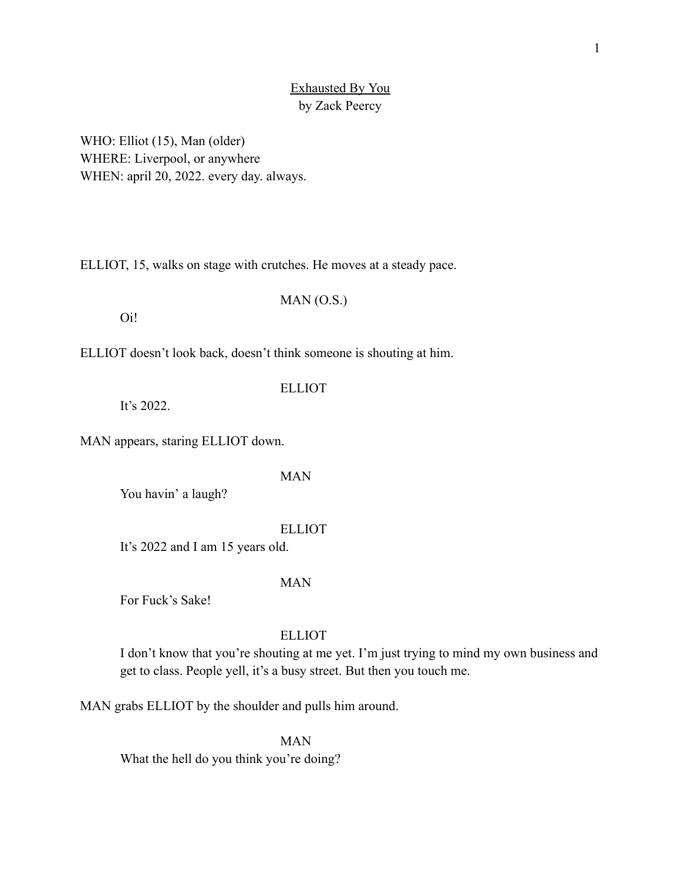# Exhausted By You by Zack Peercy

WHO: Elliot (15), Man (older) WHERE: Liverpool, or anywhere WHEN: april 20, 2022. every day. always.

ELLIOT, 15, walks on stage with crutches. He moves at a steady pace.

Oi!

ELLIOT doesn't look back, doesn't think someone is shouting at him.

It's 2022.

MAN appears, staring ELLIOT down.

MAN

ELLIOT

MAN (O.S.)

You havin' a laugh?

ELLIOT

It's 2022 and I am 15 years old.

# MAN

For Fuck's Sake!

# ELLIOT

I don't know that you're shouting at me yet. I'm just trying to mind my own business and get to class. People yell, it's a busy street. But then you touch me.

MAN grabs ELLIOT by the shoulder and pulls him around.

MAN What the hell do you think you're doing?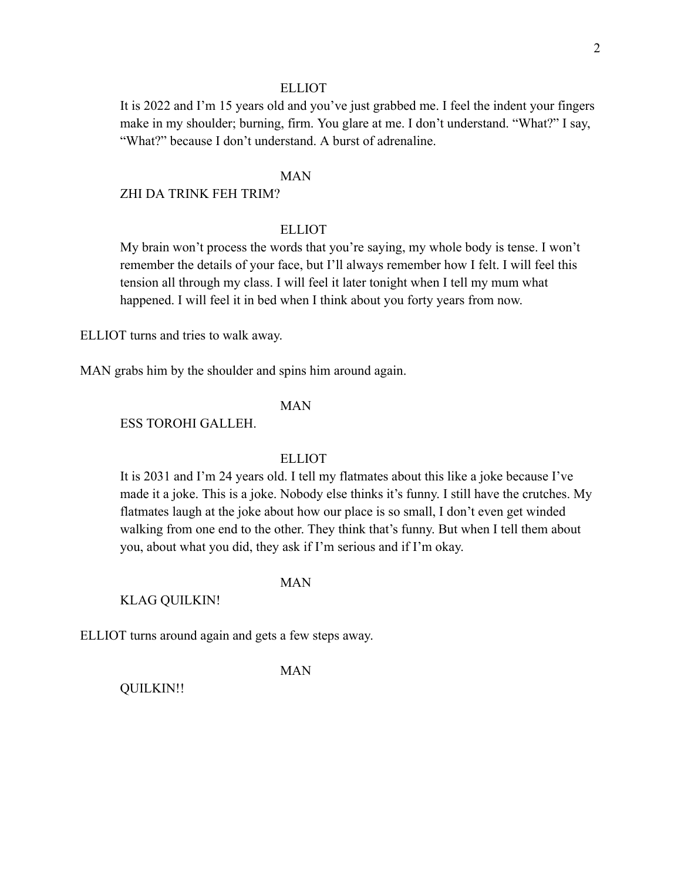### **ELLIOT**

It is 2022 and I'm 15 years old and you've just grabbed me. I feel the indent your fingers make in my shoulder; burning, firm. You glare at me. I don't understand. "What?" I say, "What?" because I don't understand. A burst of adrenaline.

# MAN

## ZHI DA TRINK FEH TRIM?

# **ELLIOT**

My brain won't process the words that you're saying, my whole body is tense. I won't remember the details of your face, but I'll always remember how I felt. I will feel this tension all through my class. I will feel it later tonight when I tell my mum what happened. I will feel it in bed when I think about you forty years from now.

ELLIOT turns and tries to walk away.

MAN grabs him by the shoulder and spins him around again.

# MAN

ESS TOROHI GALLEH.

# **ELLIOT**

It is 2031 and I'm 24 years old. I tell my flatmates about this like a joke because I've made it a joke. This is a joke. Nobody else thinks it's funny. I still have the crutches. My flatmates laugh at the joke about how our place is so small, I don't even get winded walking from one end to the other. They think that's funny. But when I tell them about you, about what you did, they ask if I'm serious and if I'm okay.

#### MAN

KLAG QUILKIN!

ELLIOT turns around again and gets a few steps away.

#### MAN

QUILKIN!!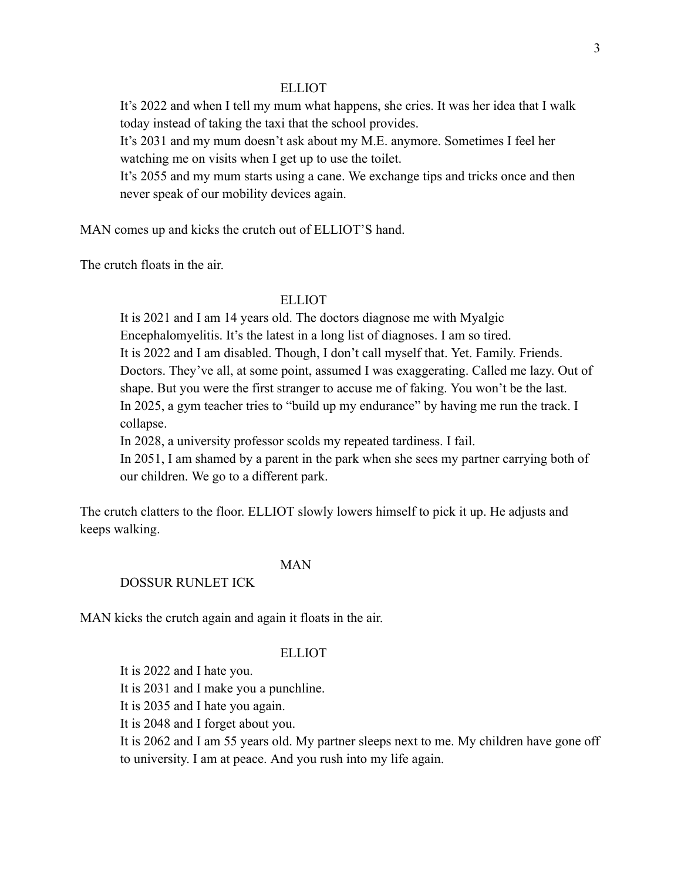## **ELLIOT**

It's 2022 and when I tell my mum what happens, she cries. It was her idea that I walk today instead of taking the taxi that the school provides.

It's 2031 and my mum doesn't ask about my M.E. anymore. Sometimes I feel her watching me on visits when I get up to use the toilet.

It's 2055 and my mum starts using a cane. We exchange tips and tricks once and then never speak of our mobility devices again.

MAN comes up and kicks the crutch out of ELLIOT'S hand.

The crutch floats in the air.

# **ELLIOT**

It is 2021 and I am 14 years old. The doctors diagnose me with Myalgic Encephalomyelitis. It's the latest in a long list of diagnoses. I am so tired. It is 2022 and I am disabled. Though, I don't call myself that. Yet. Family. Friends. Doctors. They've all, at some point, assumed I was exaggerating. Called me lazy. Out of shape. But you were the first stranger to accuse me of faking. You won't be the last. In 2025, a gym teacher tries to "build up my endurance" by having me run the track. I collapse.

In 2028, a university professor scolds my repeated tardiness. I fail.

In 2051, I am shamed by a parent in the park when she sees my partner carrying both of our children. We go to a different park.

The crutch clatters to the floor. ELLIOT slowly lowers himself to pick it up. He adjusts and keeps walking.

# MAN

## DOSSUR RUNLET ICK

MAN kicks the crutch again and again it floats in the air.

## ELLIOT

It is 2022 and I hate you.

It is 2031 and I make you a punchline.

It is 2035 and I hate you again.

It is 2048 and I forget about you.

It is 2062 and I am 55 years old. My partner sleeps next to me. My children have gone off to university. I am at peace. And you rush into my life again.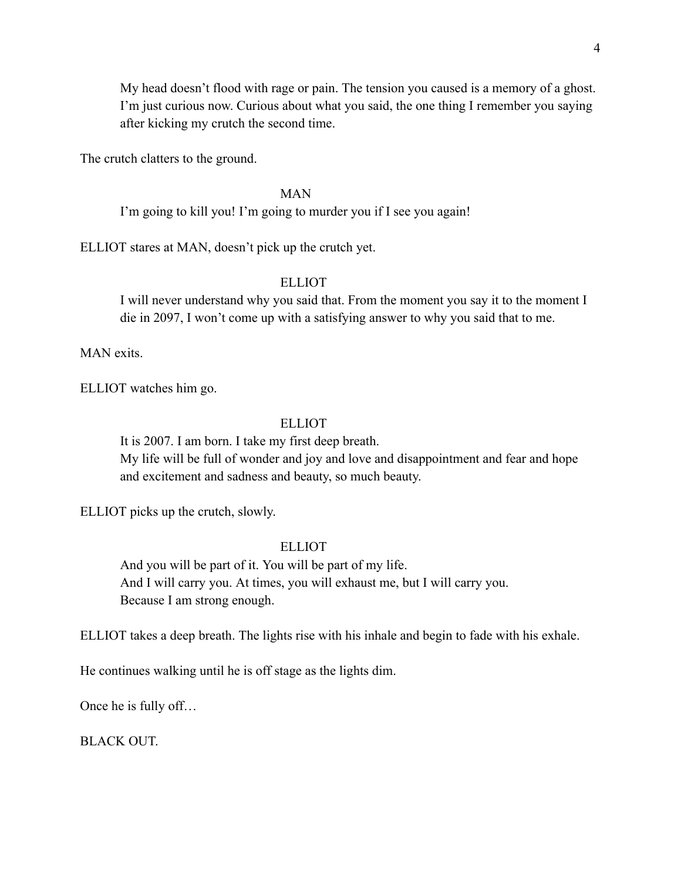My head doesn't flood with rage or pain. The tension you caused is a memory of a ghost. I'm just curious now. Curious about what you said, the one thing I remember you saying after kicking my crutch the second time.

The crutch clatters to the ground.

### MAN

I'm going to kill you! I'm going to murder you if I see you again!

ELLIOT stares at MAN, doesn't pick up the crutch yet.

# ELLIOT

I will never understand why you said that. From the moment you say it to the moment I die in 2097, I won't come up with a satisfying answer to why you said that to me.

MAN exits.

ELLIOT watches him go.

## ELLIOT

It is 2007. I am born. I take my first deep breath. My life will be full of wonder and joy and love and disappointment and fear and hope and excitement and sadness and beauty, so much beauty.

ELLIOT picks up the crutch, slowly.

### **ELLIOT**

And you will be part of it. You will be part of my life. And I will carry you. At times, you will exhaust me, but I will carry you. Because I am strong enough.

ELLIOT takes a deep breath. The lights rise with his inhale and begin to fade with his exhale.

He continues walking until he is off stage as the lights dim.

Once he is fully off…

BLACK OUT.